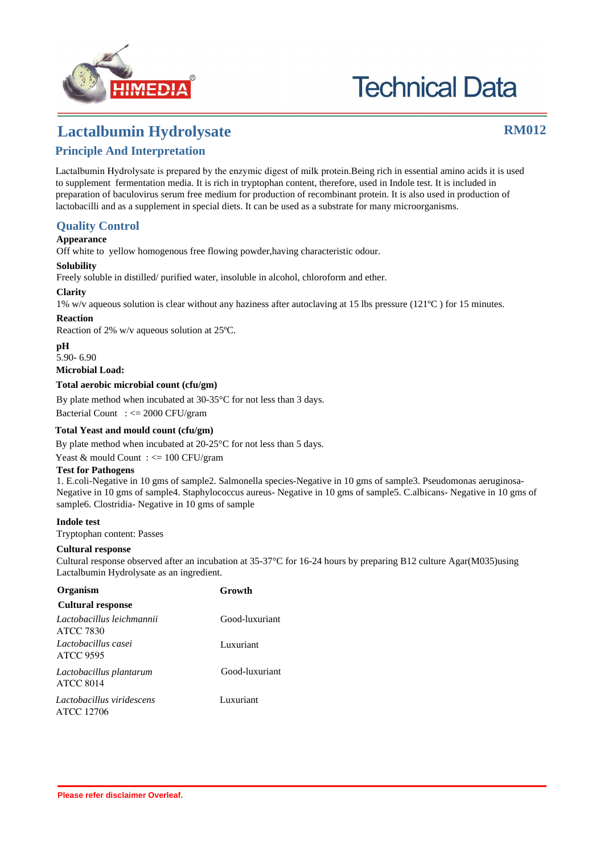

# **Technical Data**

## **Lactalbumin Hydrolysate RM012**

### **Principle And Interpretation**

Lactalbumin Hydrolysate is prepared by the enzymic digest of milk protein.Being rich in essential amino acids it is used to supplement fermentation media. It is rich in tryptophan content, therefore, used in Indole test. It is included in preparation of baculovirus serum free medium for production of recombinant protein. It is also used in production of lactobacilli and as a supplement in special diets. It can be used as a substrate for many microorganisms.

#### **Quality Control**

#### **Appearance**

Off white to yellow homogenous free flowing powder,having characteristic odour.

#### **Solubility**

Freely soluble in distilled/ purified water, insoluble in alcohol, chloroform and ether.

#### **Clarity**

1% w/v aqueous solution is clear without any haziness after autoclaving at 15 lbs pressure (121ºC ) for 15 minutes.

#### **Reaction**

Reaction of 2% w/v aqueous solution at 25ºC.

#### **pH**

5.90- 6.90

**Microbial Load:**

#### **Total aerobic microbial count (cfu/gm)**

Bacterial Count : <= 2000 CFU/gram By plate method when incubated at 30-35°C for not less than 3 days.

#### **Total Yeast and mould count (cfu/gm)**

By plate method when incubated at 20-25°C for not less than 5 days.

#### Yeast & mould Count : <= 100 CFU/gram

#### **Test for Pathogens**

1. E.coli-Negative in 10 gms of sample2. Salmonella species-Negative in 10 gms of sample3. Pseudomonas aeruginosa-Negative in 10 gms of sample4. Staphylococcus aureus- Negative in 10 gms of sample5. C.albicans- Negative in 10 gms of sample6. Clostridia- Negative in 10 gms of sample

#### **Indole test**

Tryptophan content: Passes

#### **Cultural response**

Cultural response observed after an incubation at 35-37°C for 16-24 hours by preparing B12 culture Agar(M035)using Lactalbumin Hydrolysate as an ingredient.

| Organism                                    | Growth         |
|---------------------------------------------|----------------|
| <b>Cultural response</b>                    |                |
| Lactobacillus leichmannii<br>ATCC 7830      | Good-luxuriant |
| Lactobacillus casei<br>ATCC 9595            | Luxuriant      |
| Lactobacillus plantarum<br><b>ATCC 8014</b> | Good-luxuriant |
| Lactobacillus viridescens<br>ATCC 12706     | Luxuriant      |